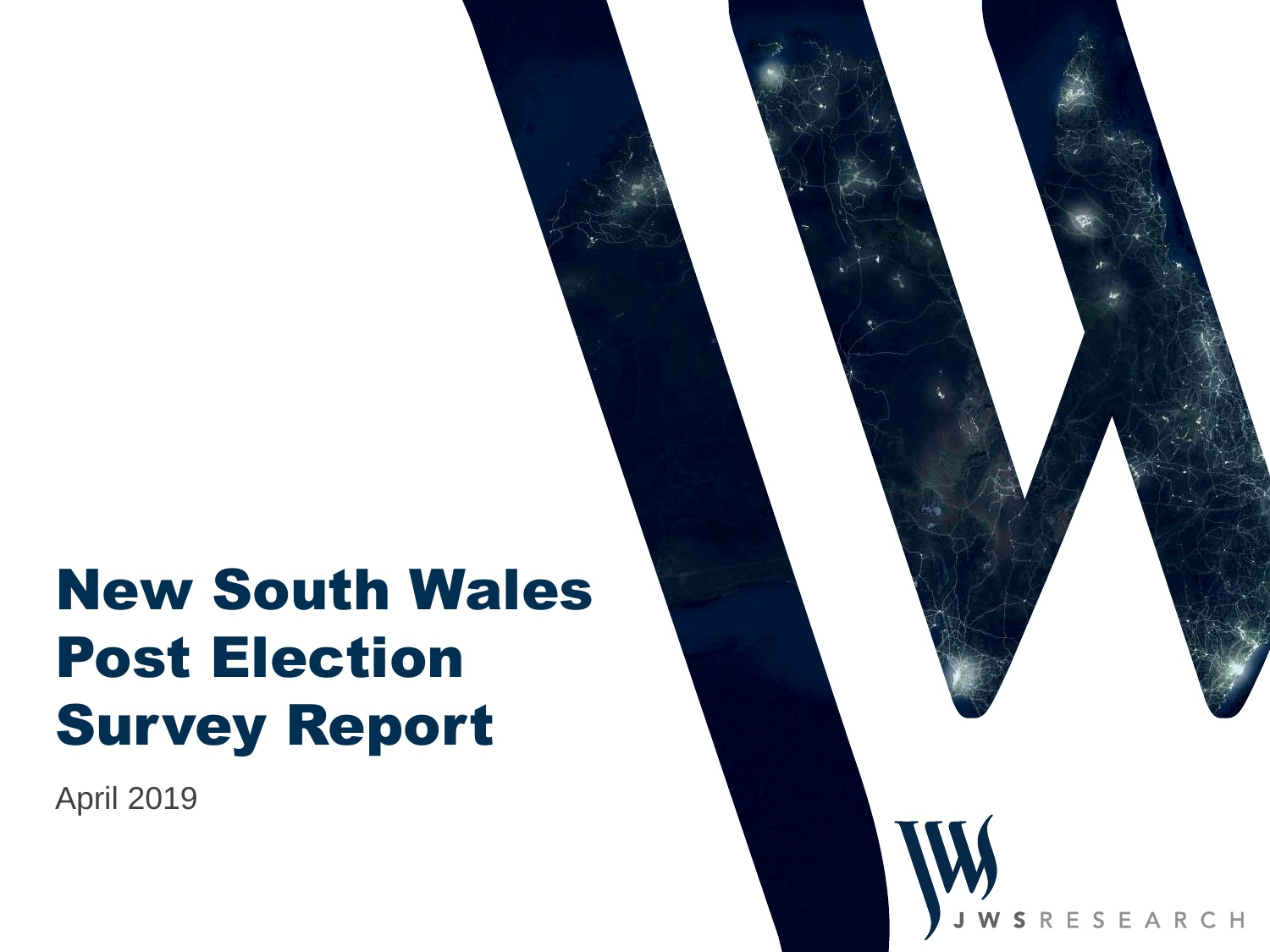# New South Wales Post Election Survey Report

April 2019

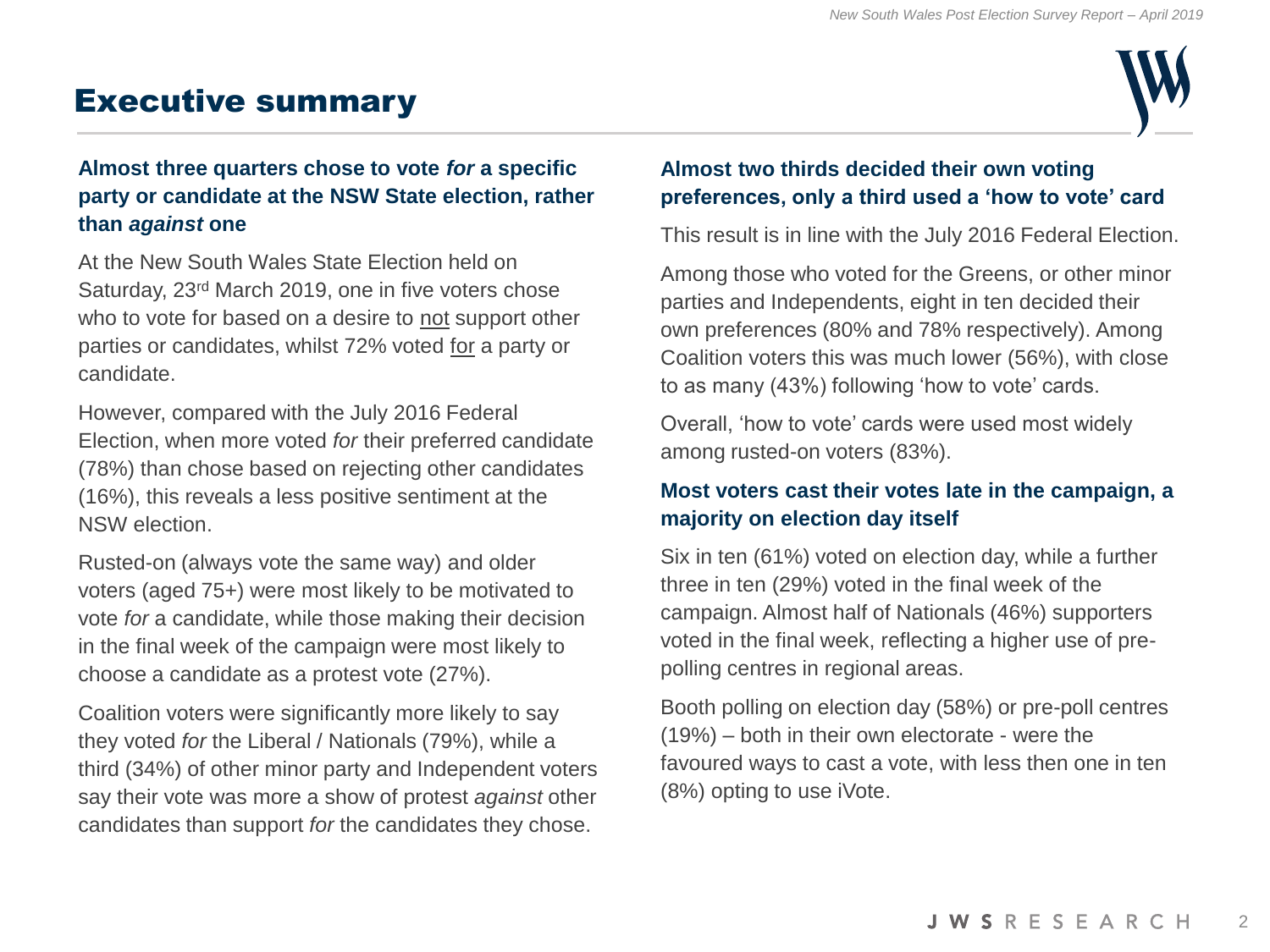## Executive summary



#### **Almost three quarters chose to vote** *for* **a specific party or candidate at the NSW State election, rather than** *against* **one**

At the New South Wales State Election held on Saturday, 23rd March 2019, one in five voters chose who to vote for based on a desire to not support other parties or candidates, whilst 72% voted for a party or candidate.

However, compared with the July 2016 Federal Election, when more voted *for* their preferred candidate (78%) than chose based on rejecting other candidates (16%), this reveals a less positive sentiment at the NSW election.

Rusted-on (always vote the same way) and older voters (aged 75+) were most likely to be motivated to vote *for* a candidate, while those making their decision in the final week of the campaign were most likely to choose a candidate as a protest vote (27%).

Coalition voters were significantly more likely to say they voted *for* the Liberal / Nationals (79%), while a third (34%) of other minor party and Independent voters say their vote was more a show of protest *against* other candidates than support *for* the candidates they chose.

#### **Almost two thirds decided their own voting preferences, only a third used a 'how to vote' card**

This result is in line with the July 2016 Federal Election.

Among those who voted for the Greens, or other minor parties and Independents, eight in ten decided their own preferences (80% and 78% respectively). Among Coalition voters this was much lower (56%), with close to as many (43%) following 'how to vote' cards.

Overall, 'how to vote' cards were used most widely among rusted-on voters (83%).

#### **Most voters cast their votes late in the campaign, a majority on election day itself**

Six in ten (61%) voted on election day, while a further three in ten (29%) voted in the final week of the campaign. Almost half of Nationals (46%) supporters voted in the final week, reflecting a higher use of prepolling centres in regional areas.

Booth polling on election day (58%) or pre-poll centres (19%) – both in their own electorate - were the favoured ways to cast a vote, with less then one in ten (8%) opting to use iVote.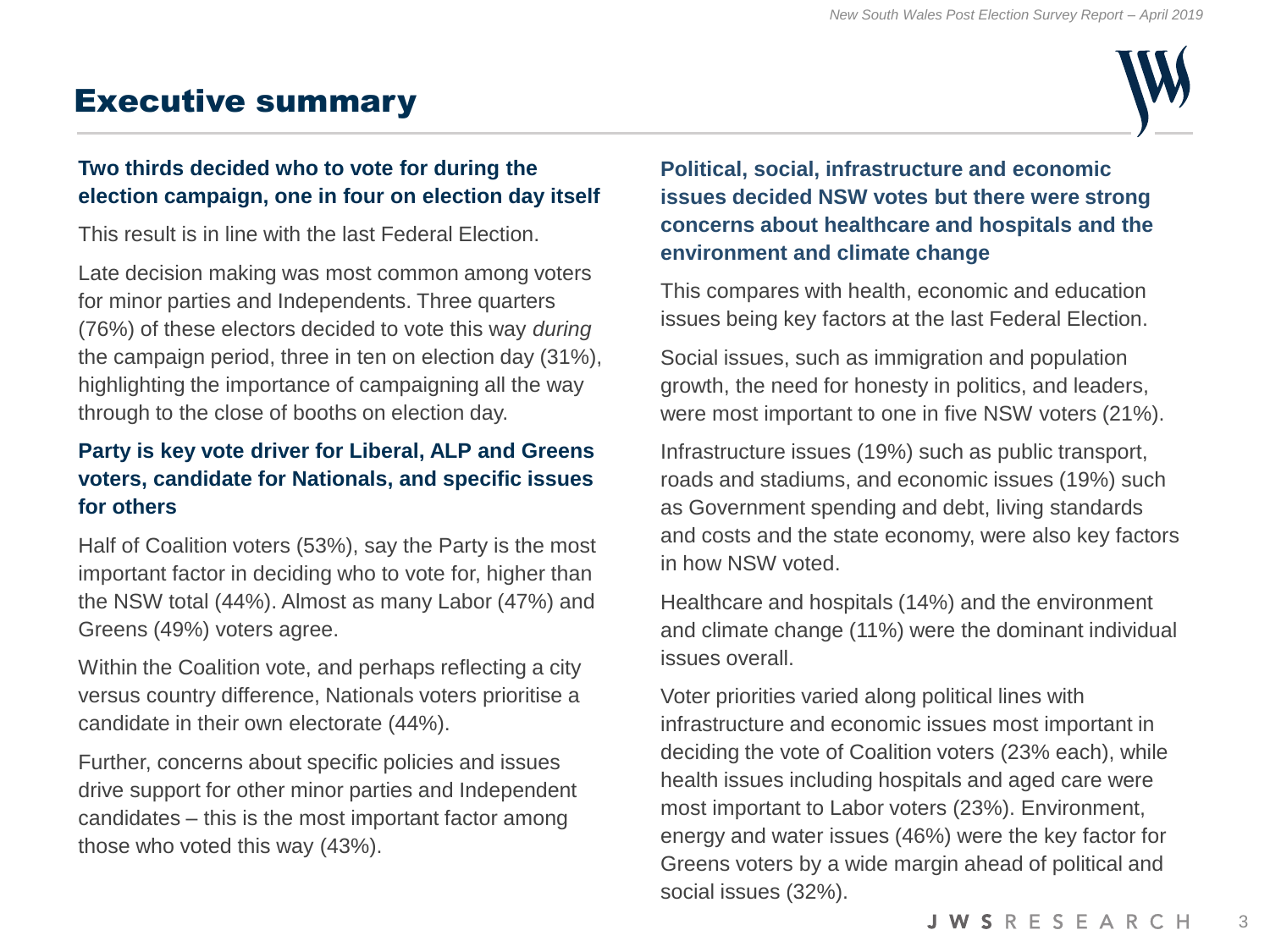# Executive summary



#### **Two thirds decided who to vote for during the election campaign, one in four on election day itself**

This result is in line with the last Federal Election.

Late decision making was most common among voters for minor parties and Independents. Three quarters (76%) of these electors decided to vote this way *during* the campaign period, three in ten on election day (31%), highlighting the importance of campaigning all the way through to the close of booths on election day.

#### **Party is key vote driver for Liberal, ALP and Greens voters, candidate for Nationals, and specific issues for others**

Half of Coalition voters (53%), say the Party is the most important factor in deciding who to vote for, higher than the NSW total (44%). Almost as many Labor (47%) and Greens (49%) voters agree.

Within the Coalition vote, and perhaps reflecting a city versus country difference, Nationals voters prioritise a candidate in their own electorate (44%).

Further, concerns about specific policies and issues drive support for other minor parties and Independent candidates – this is the most important factor among those who voted this way (43%).

#### **Political, social, infrastructure and economic issues decided NSW votes but there were strong concerns about healthcare and hospitals and the environment and climate change**

This compares with health, economic and education issues being key factors at the last Federal Election.

Social issues, such as immigration and population growth, the need for honesty in politics, and leaders, were most important to one in five NSW voters (21%).

Infrastructure issues (19%) such as public transport, roads and stadiums, and economic issues (19%) such as Government spending and debt, living standards and costs and the state economy, were also key factors in how NSW voted.

Healthcare and hospitals (14%) and the environment and climate change (11%) were the dominant individual issues overall.

Voter priorities varied along political lines with infrastructure and economic issues most important in deciding the vote of Coalition voters (23% each), while health issues including hospitals and aged care were most important to Labor voters (23%). Environment, energy and water issues (46%) were the key factor for Greens voters by a wide margin ahead of political and social issues (32%).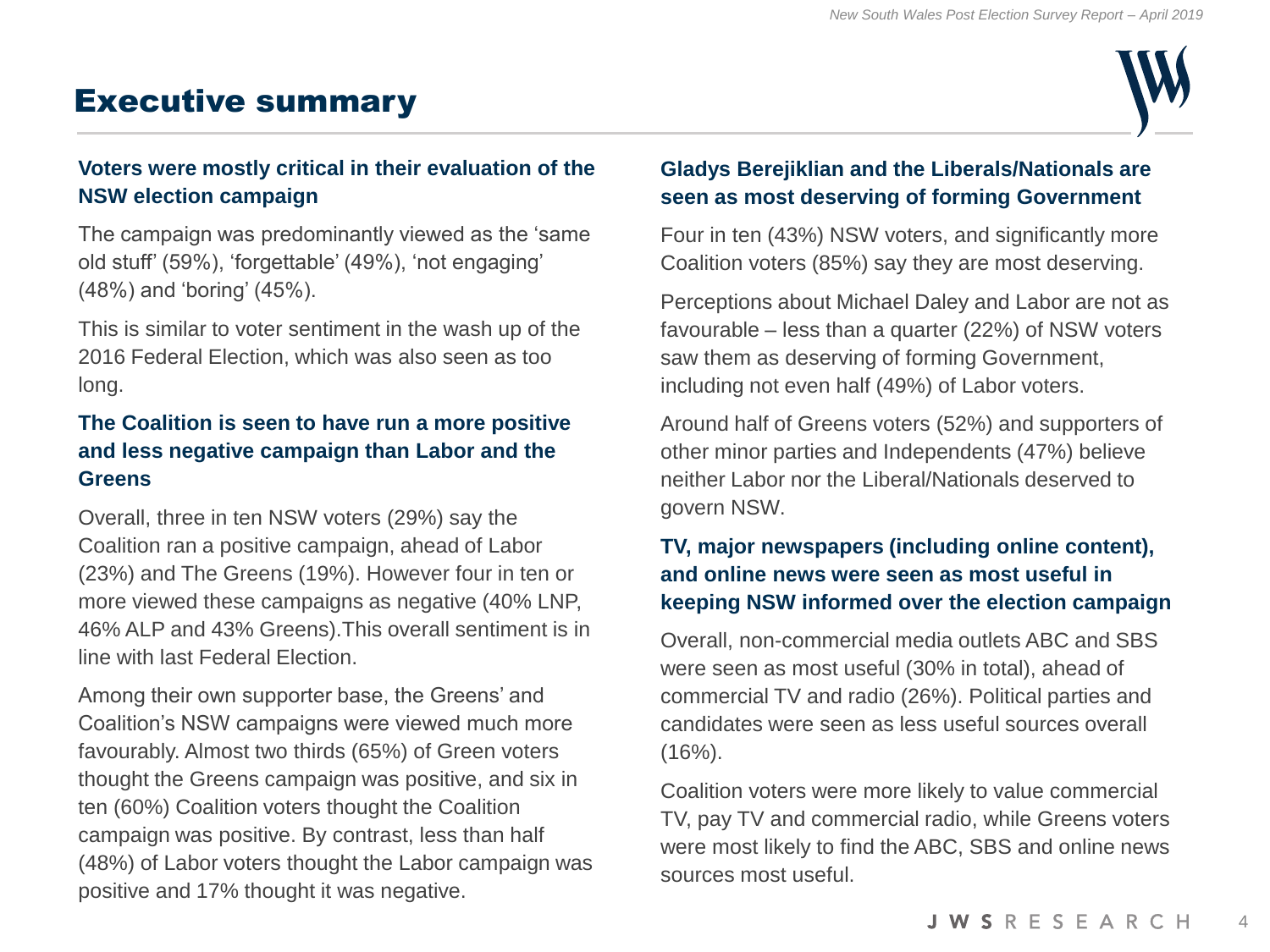# Executive summary



#### **Voters were mostly critical in their evaluation of the NSW election campaign**

The campaign was predominantly viewed as the 'same old stuff' (59%), 'forgettable' (49%), 'not engaging' (48%) and 'boring' (45%).

This is similar to voter sentiment in the wash up of the 2016 Federal Election, which was also seen as too long.

#### **The Coalition is seen to have run a more positive and less negative campaign than Labor and the Greens**

Overall, three in ten NSW voters (29%) say the Coalition ran a positive campaign, ahead of Labor (23%) and The Greens (19%). However four in ten or more viewed these campaigns as negative (40% LNP, 46% ALP and 43% Greens).This overall sentiment is in line with last Federal Election.

Among their own supporter base, the Greens' and Coalition's NSW campaigns were viewed much more favourably. Almost two thirds (65%) of Green voters thought the Greens campaign was positive, and six in ten (60%) Coalition voters thought the Coalition campaign was positive. By contrast, less than half (48%) of Labor voters thought the Labor campaign was positive and 17% thought it was negative.

#### **Gladys Berejiklian and the Liberals/Nationals are seen as most deserving of forming Government**

Four in ten (43%) NSW voters, and significantly more Coalition voters (85%) say they are most deserving.

Perceptions about Michael Daley and Labor are not as favourable – less than a quarter (22%) of NSW voters saw them as deserving of forming Government, including not even half (49%) of Labor voters.

Around half of Greens voters (52%) and supporters of other minor parties and Independents (47%) believe neither Labor nor the Liberal/Nationals deserved to govern NSW.

#### **TV, major newspapers (including online content), and online news were seen as most useful in keeping NSW informed over the election campaign**

Overall, non-commercial media outlets ABC and SBS were seen as most useful (30% in total), ahead of commercial TV and radio (26%). Political parties and candidates were seen as less useful sources overall  $(16\%)$ .

Coalition voters were more likely to value commercial TV, pay TV and commercial radio, while Greens voters were most likely to find the ABC, SBS and online news sources most useful.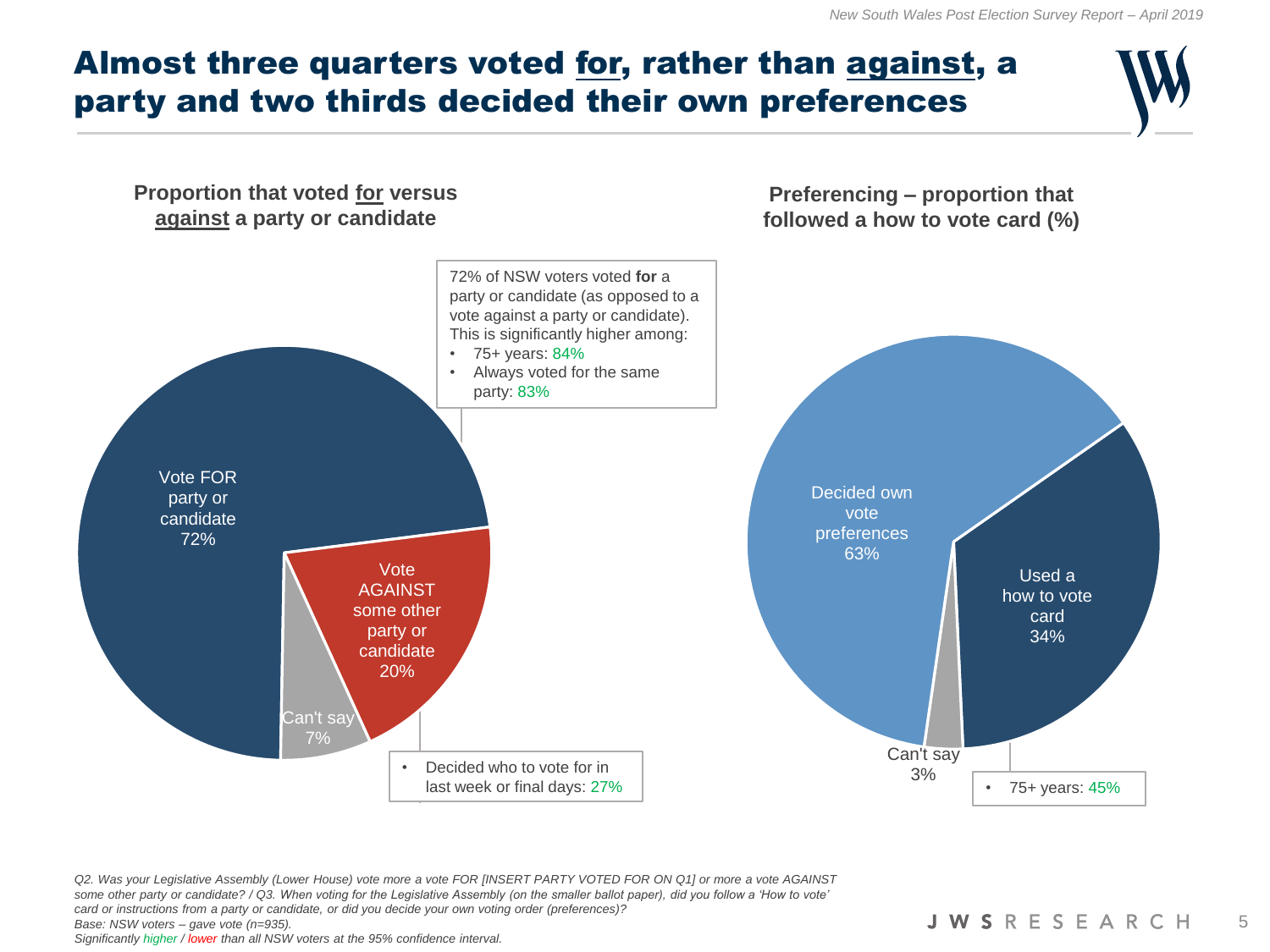## Almost three quarters voted for, rather than against, a party and two thirds decided their own preferences



*Q2. Was your Legislative Assembly (Lower House) vote more a vote FOR [INSERT PARTY VOTED FOR ON Q1] or more a vote AGAINST some other party or candidate? / Q3. When voting for the Legislative Assembly (on the smaller ballot paper), did you follow a 'How to vote' card or instructions from a party or candidate, or did you decide your own voting order (preferences)? Base: NSW voters – gave vote (n=935). Significantly higher / lower than all NSW voters at the 95% confidence interval.*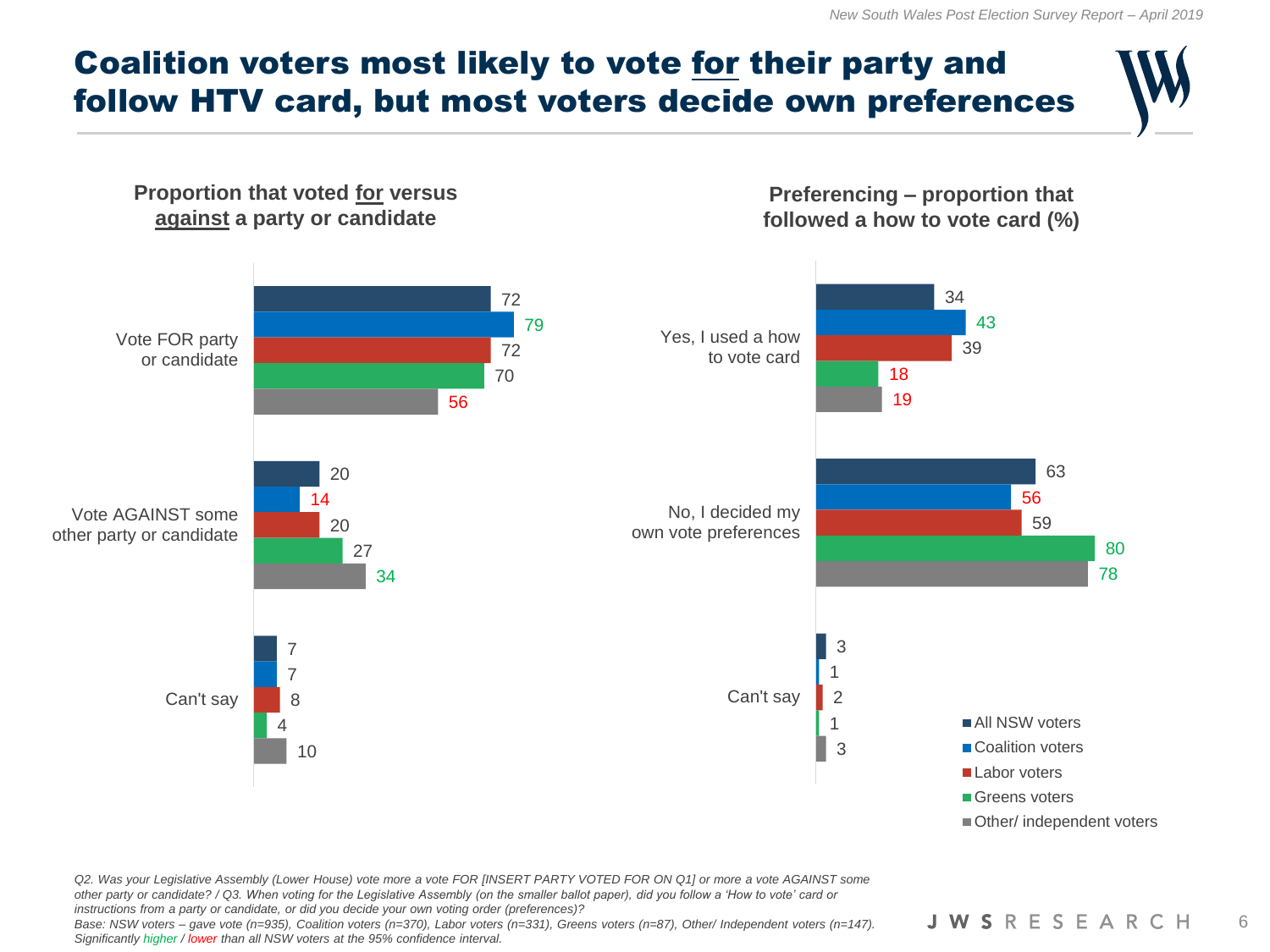## Coalition voters most likely to vote for their party and follow HTV card, but most voters decide own preferences



*Q2. Was your Legislative Assembly (Lower House) vote more a vote FOR [INSERT PARTY VOTED FOR ON Q1] or more a vote AGAINST some other party or candidate? / Q3. When voting for the Legislative Assembly (on the smaller ballot paper), did you follow a 'How to vote' card or instructions from a party or candidate, or did you decide your own voting order (preferences)?*

*Base: NSW voters – gave vote (n=935), Coalition voters (n=370), Labor voters (n=331), Greens voters (n=87), Other/ Independent voters (n=147). Significantly higher / lower than all NSW voters at the 95% confidence interval.*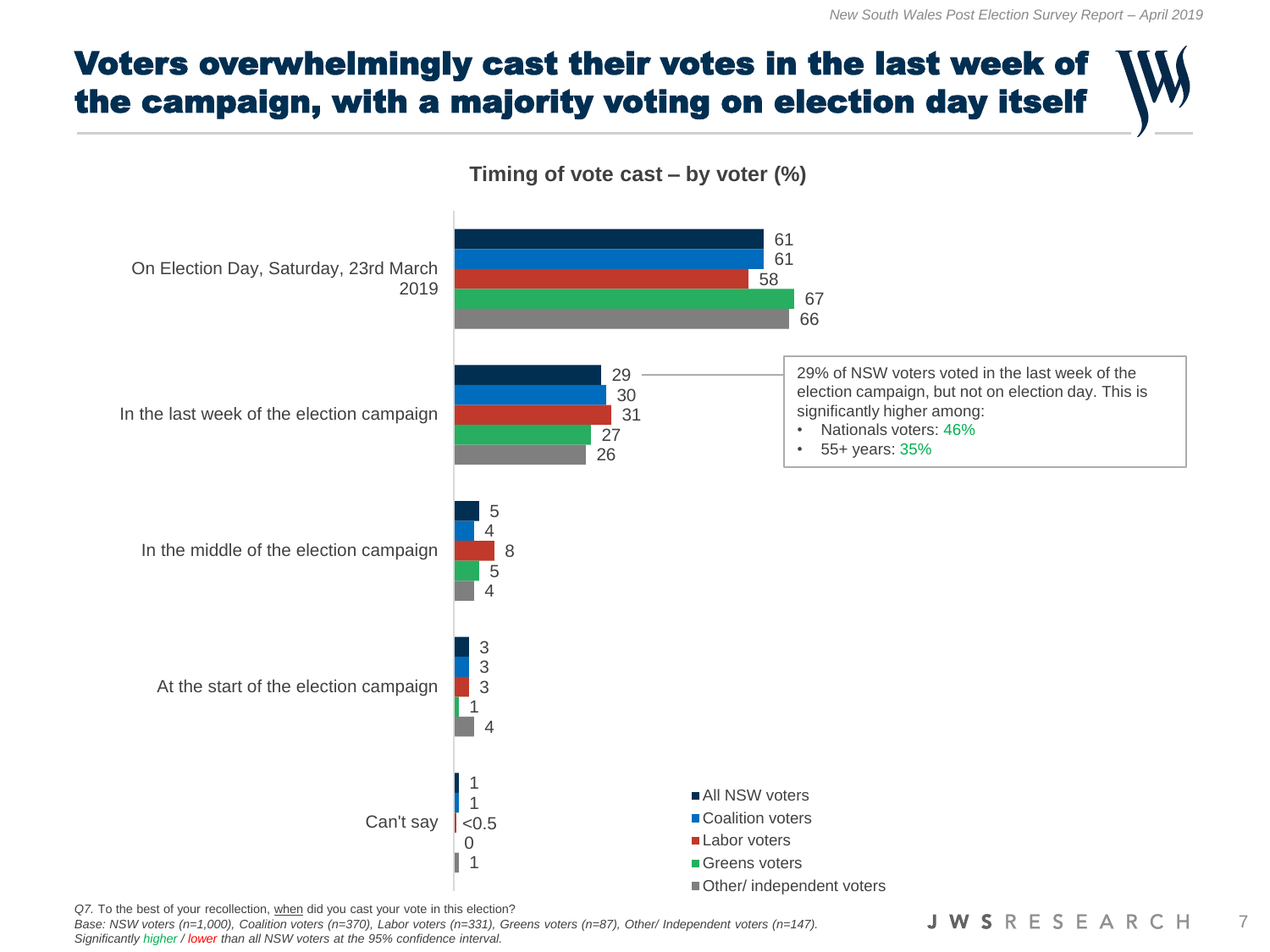# Voters overwhelmingly cast their votes in the last week of the campaign, with a majority voting on election day itself



*Q7.* To the best of your recollection, when did you cast your vote in this election?

*Base: NSW voters (n=1,000), Coalition voters (n=370), Labor voters (n=331), Greens voters (n=87), Other/ Independent voters (n=147). Significantly higher / lower than all NSW voters at the 95% confidence interval.*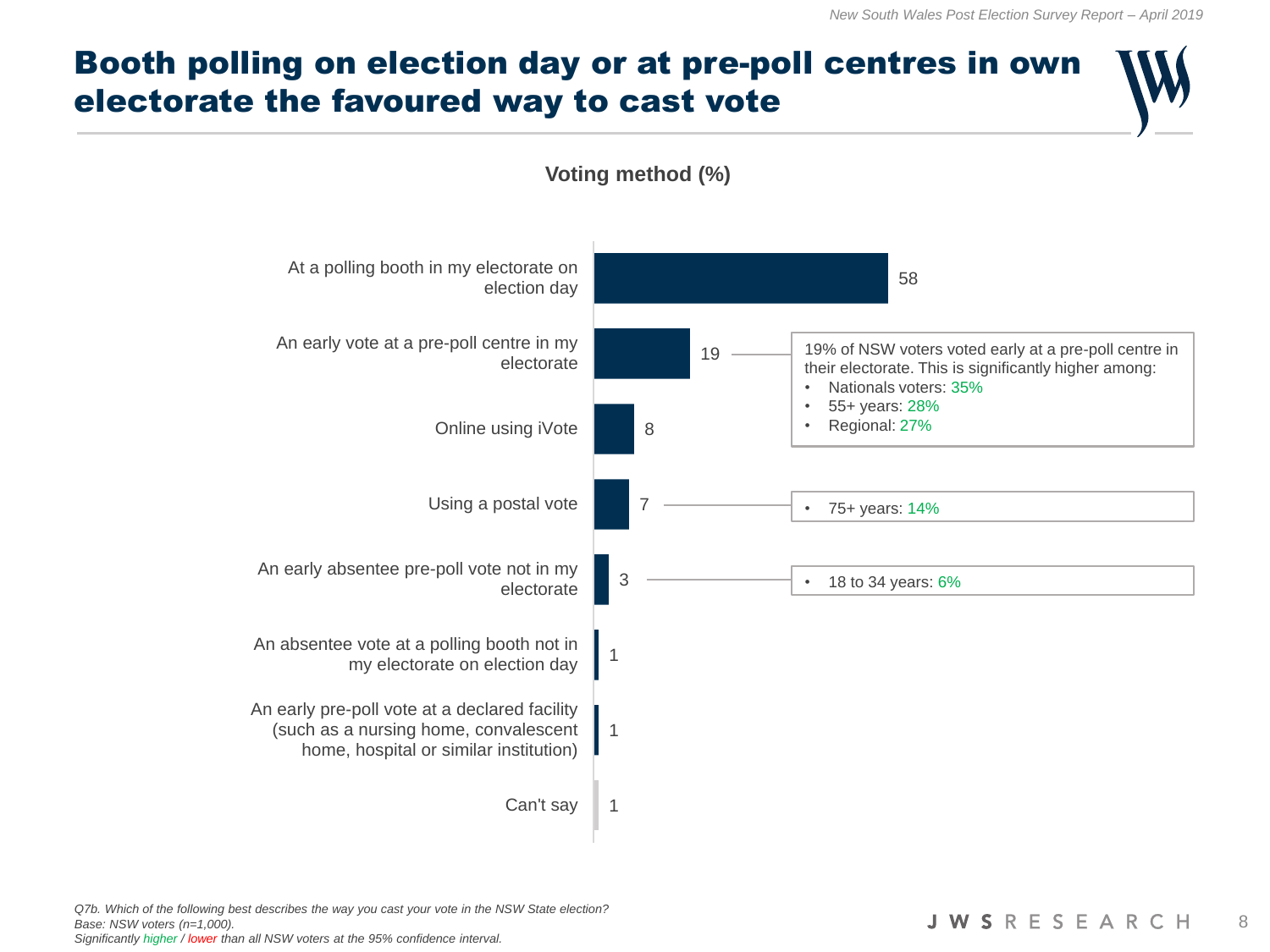

*Q7b. Which of the following best describes the way you cast your vote in the NSW State election? Base: NSW voters (n=1,000).*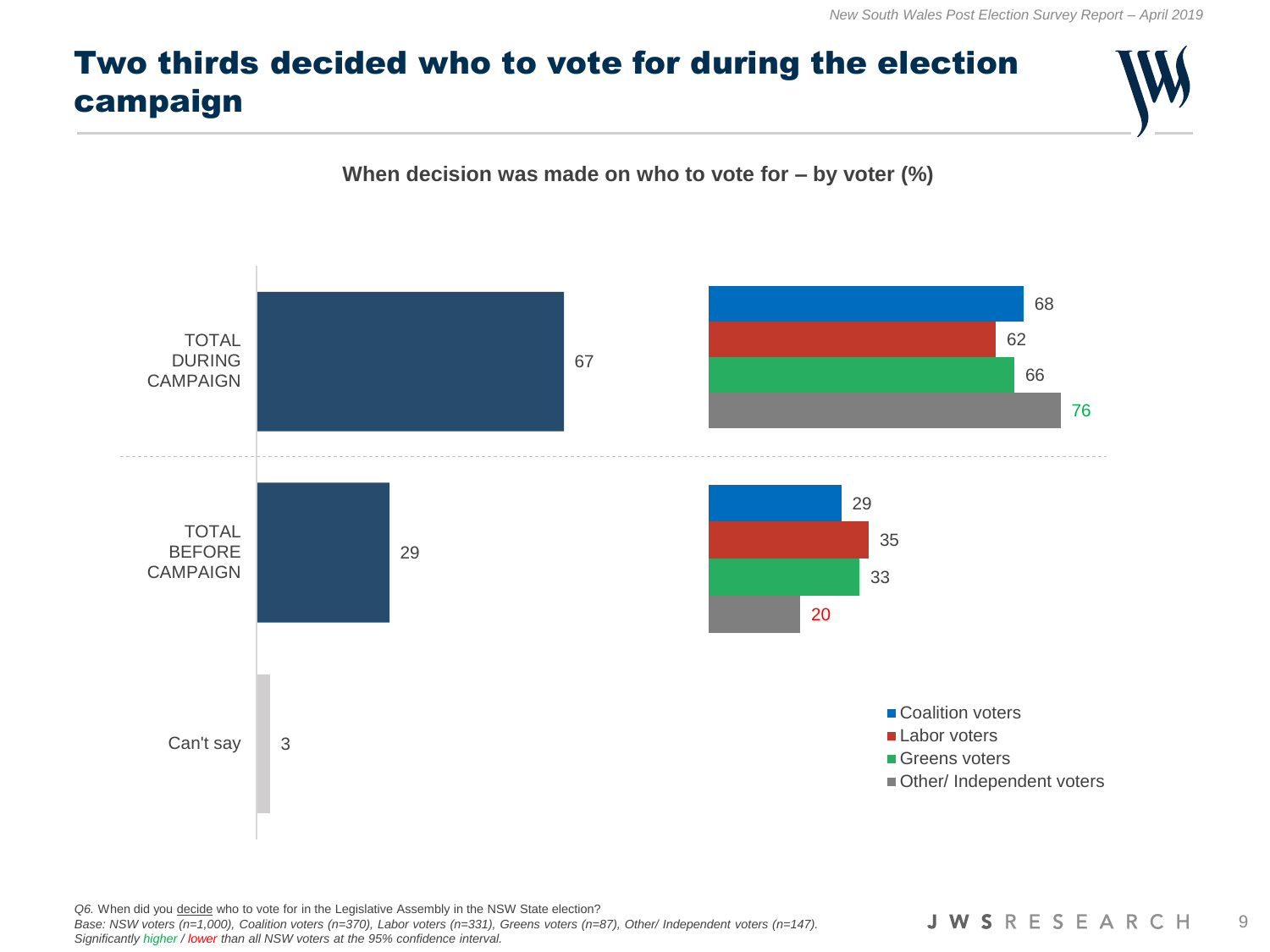# Two thirds decided who to vote for during the election campaign





*Q6.* When did you decide who to vote for in the Legislative Assembly in the NSW State election? *Base: NSW voters (n=1,000), Coalition voters (n=370), Labor voters (n=331), Greens voters (n=87), Other/ Independent voters (n=147). Significantly higher / lower than all NSW voters at the 95% confidence interval.*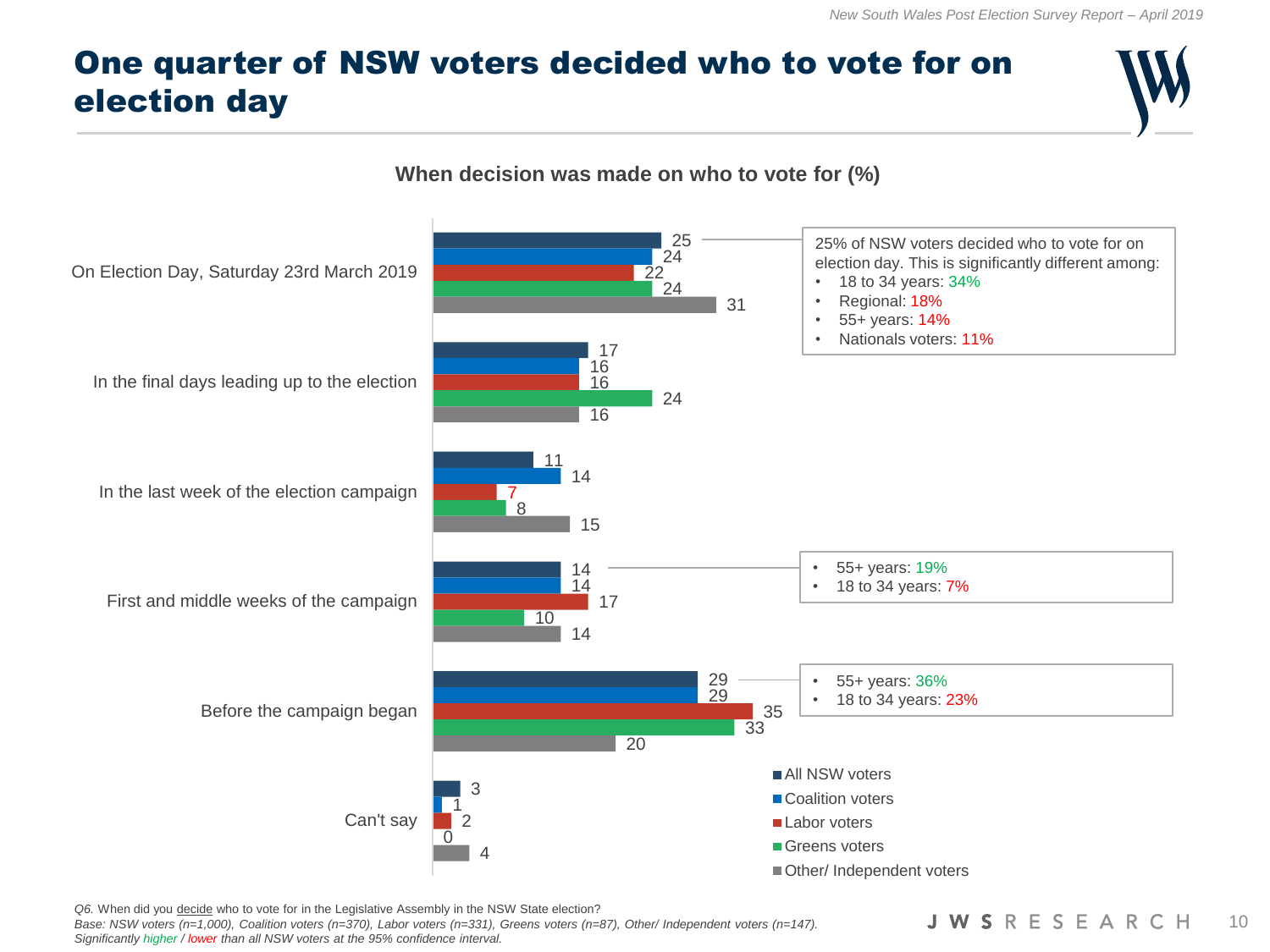# One quarter of NSW voters decided who to vote for on election day



*Q6.* When did you decide who to vote for in the Legislative Assembly in the NSW State election?

Base: NSW voters (n=1,000), Coalition voters (n=370), Labor voters (n=331), Greens voters (n=87), Other/ Independent voters (n=147). *Significantly higher / lower than all NSW voters at the 95% confidence interval.*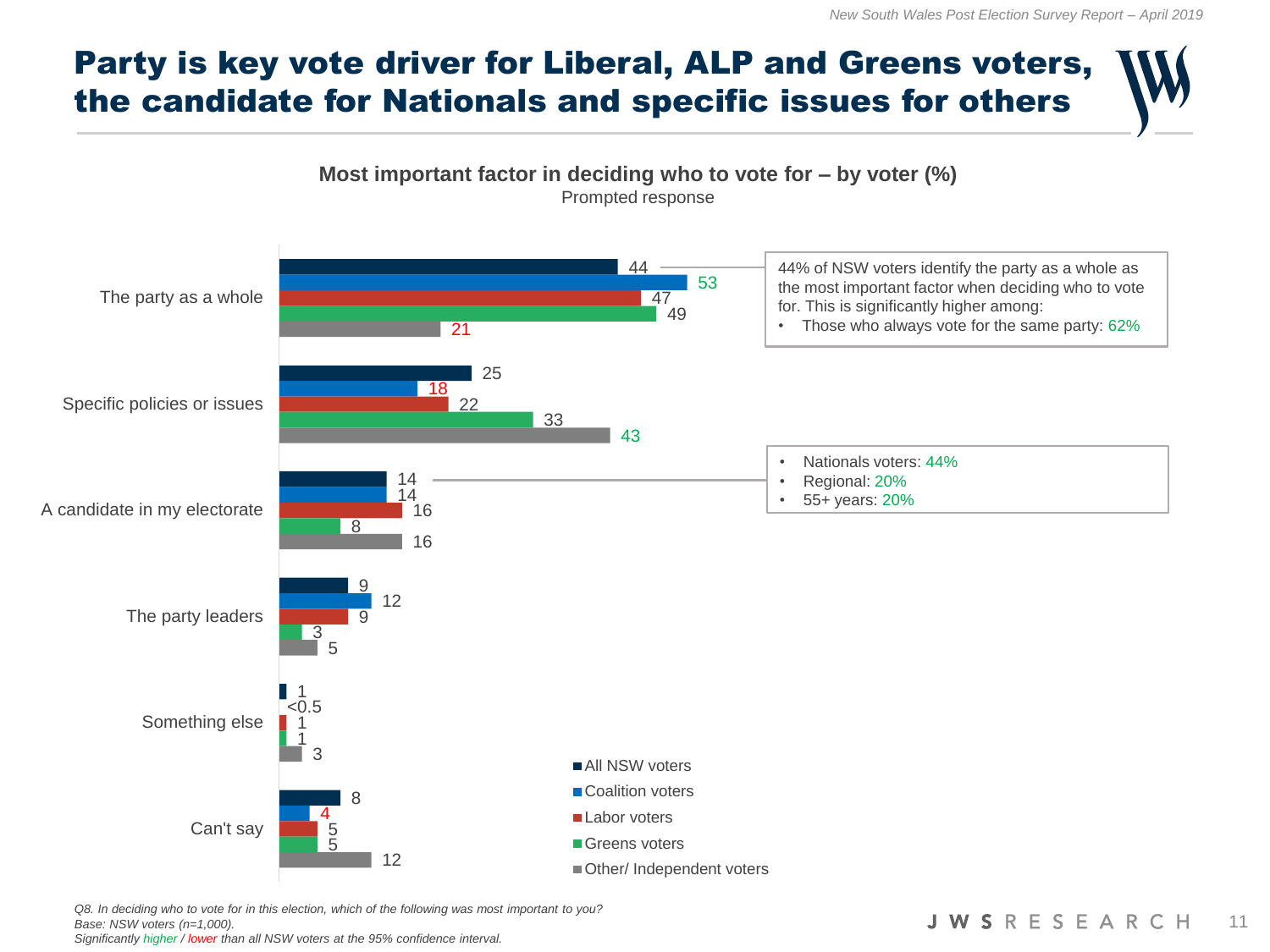# Party is key vote driver for Liberal, ALP and Greens voters, the candidate for Nationals and specific issues for others



*Q8. In deciding who to vote for in this election, which of the following was most important to you? Base: NSW voters (n=1,000). Significantly higher / lower than all NSW voters at the 95% confidence interval.*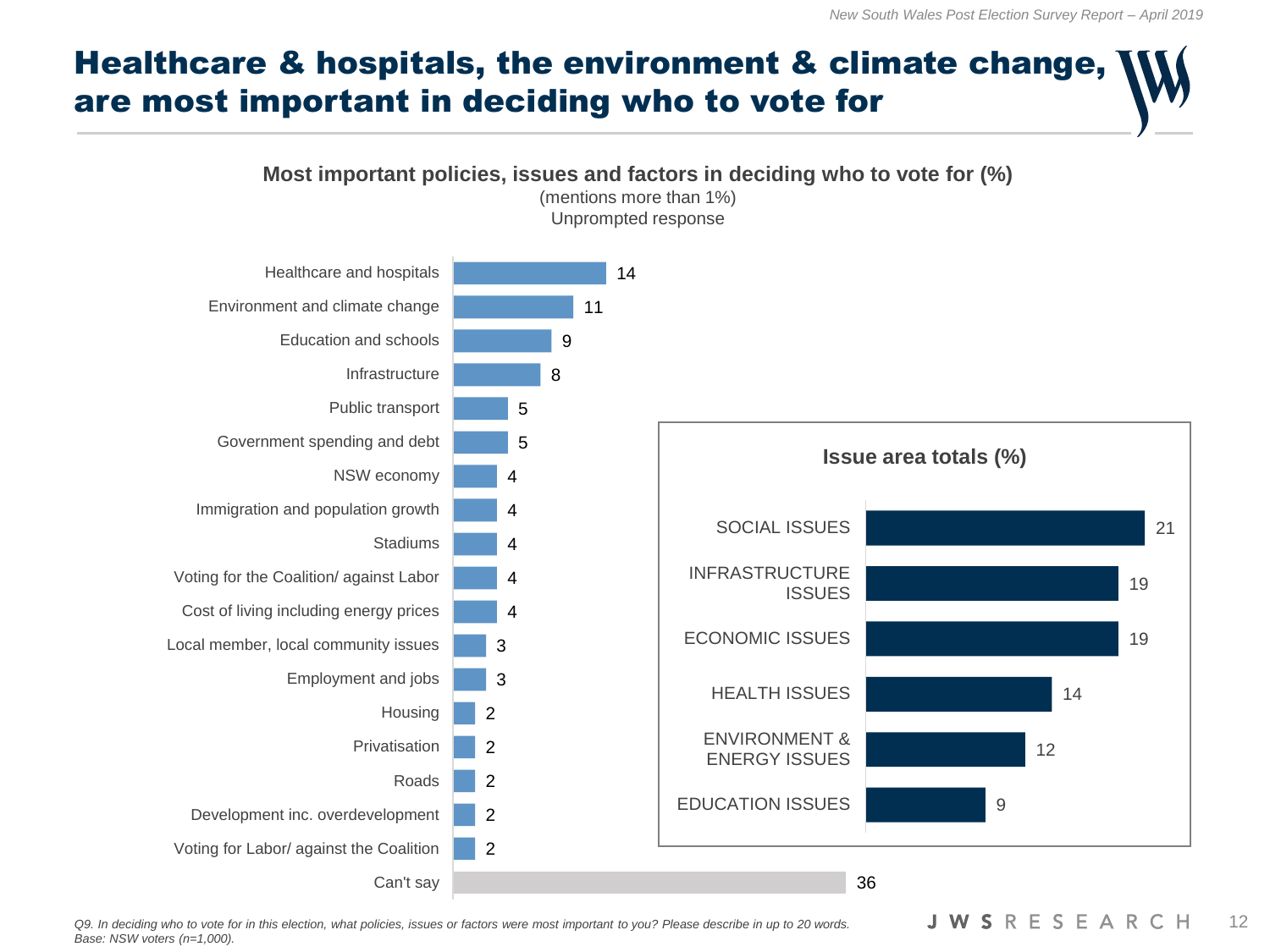

Q9. In deciding who to vote for in this election, what policies, issues or factors were most important to you? Please describe in up to 20 words. **JWS**RESEARCH 12 *Base: NSW voters (n=1,000).*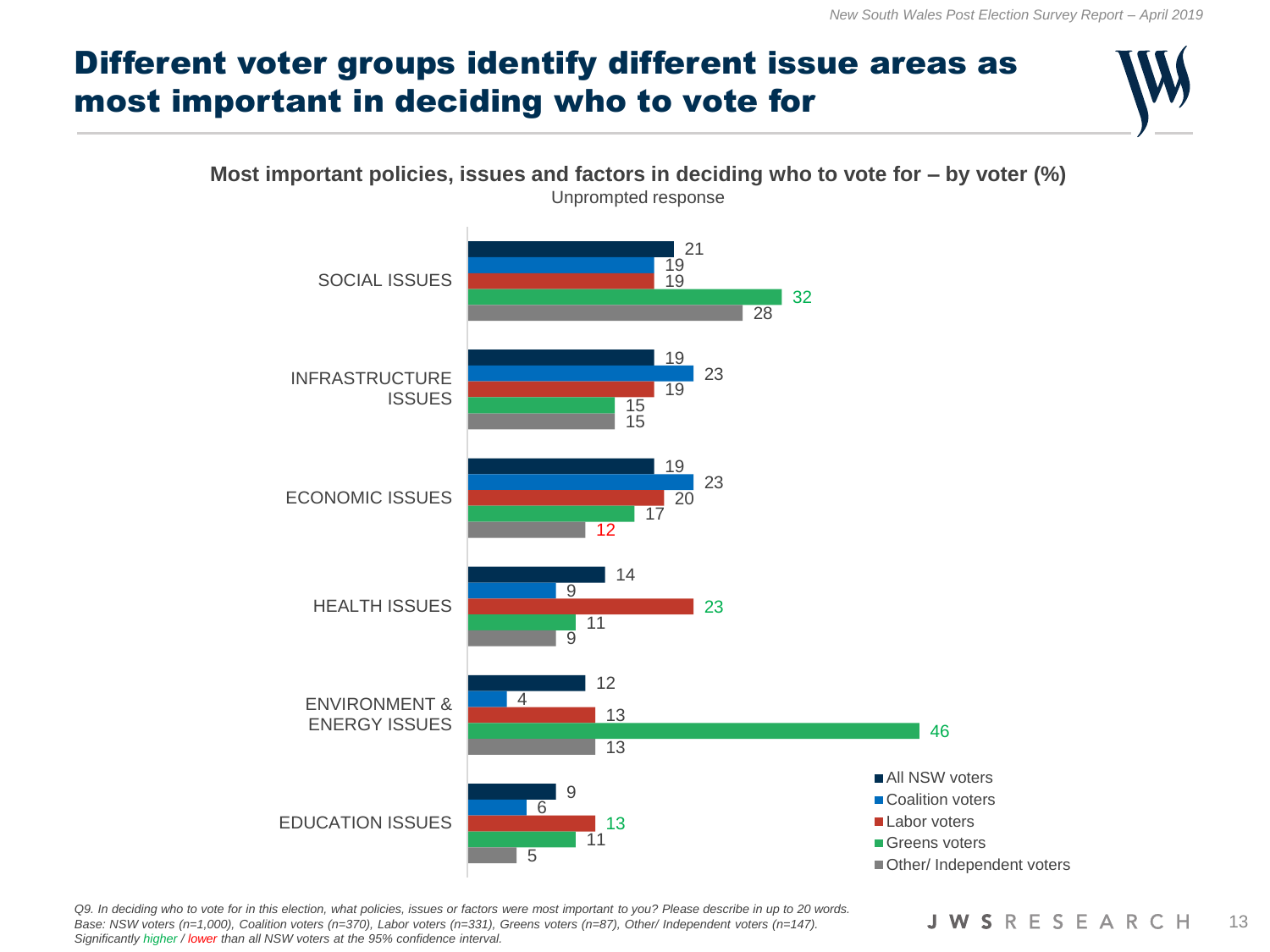# Different voter groups identify different issue areas as most important in deciding who to vote for



*Q9. In deciding who to vote for in this election, what policies, issues or factors were most important to you? Please describe in up to 20 words. Base: NSW voters (n=1,000), Coalition voters (n=370), Labor voters (n=331), Greens voters (n=87), Other/ Independent voters (n=147). Significantly higher / lower than all NSW voters at the 95% confidence interval.*

#### **JWSRESEARCH** 13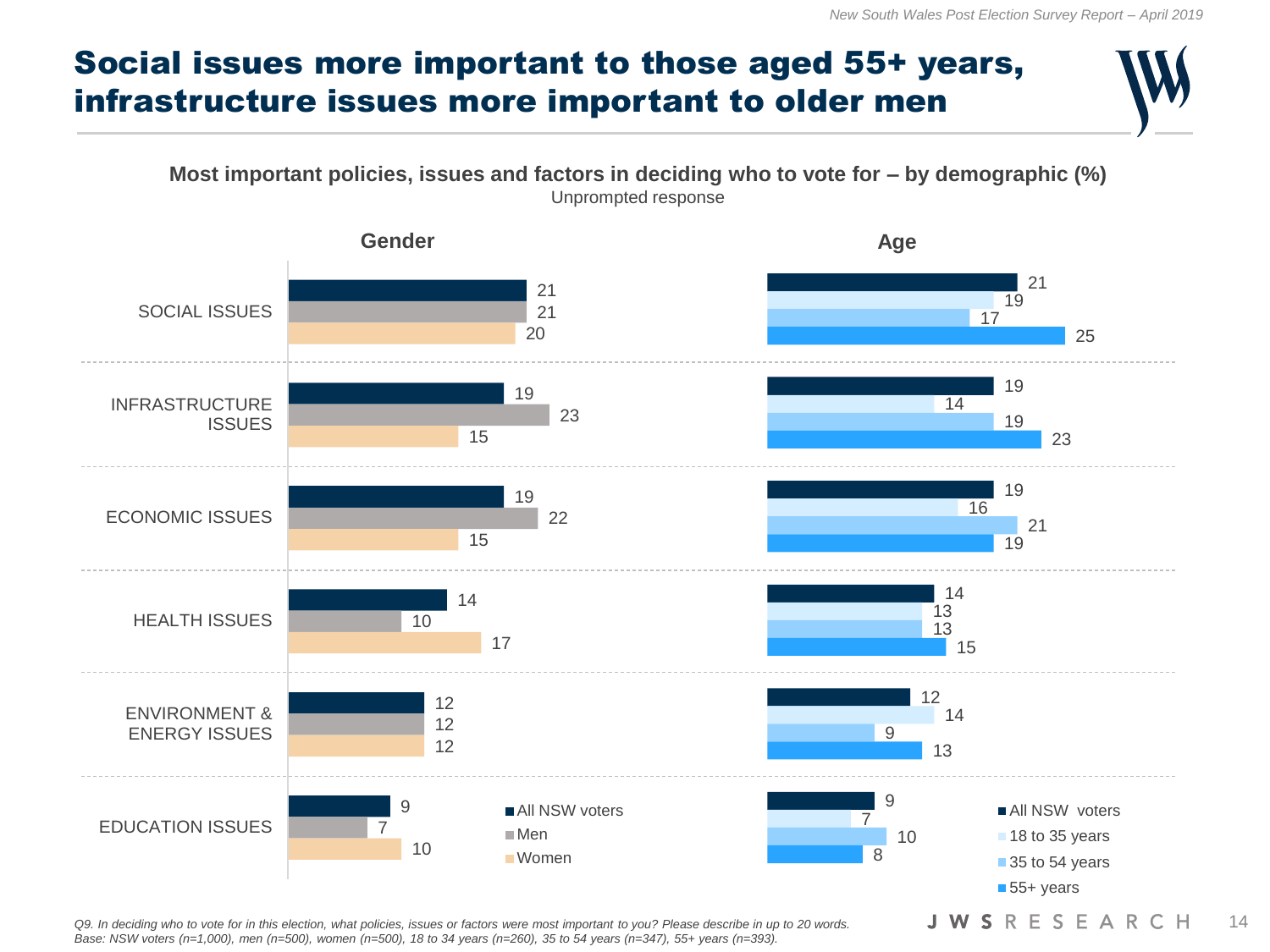## Social issues more important to those aged 55+ years, infrastructure issues more important to older men





Q9. In deciding who to vote for in this election, what policies, issues or factors were most important to you? Please describe in up to 20 words. **JWS**RESEARCH 14 *Base: NSW voters (n=1,000), men (n=500), women (n=500), 18 to 34 years (n=260), 35 to 54 years (n=347), 55+ years (n=393).*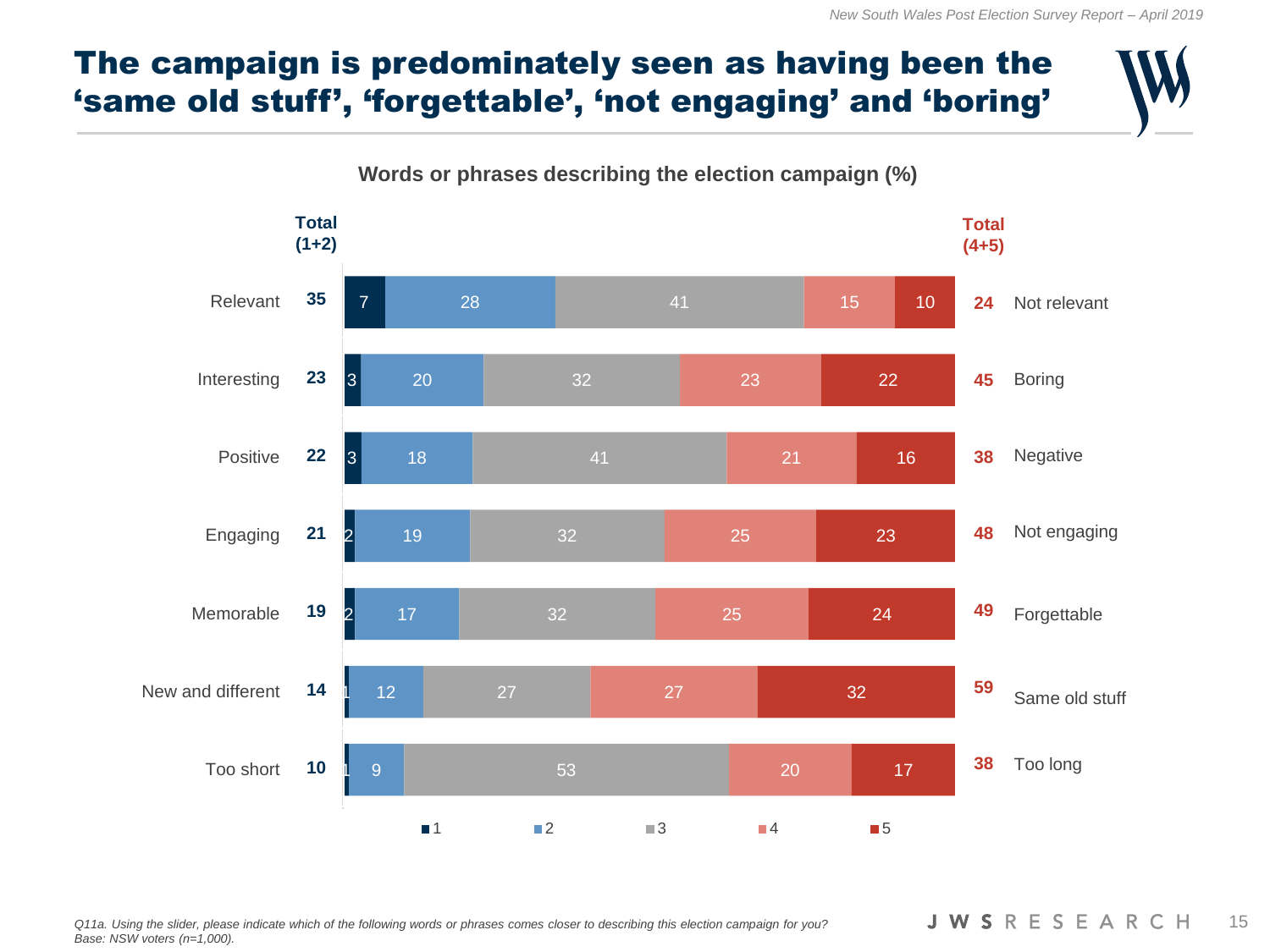# The campaign is predominately seen as having been the 'same old stuff', 'forgettable', 'not engaging' and 'boring'

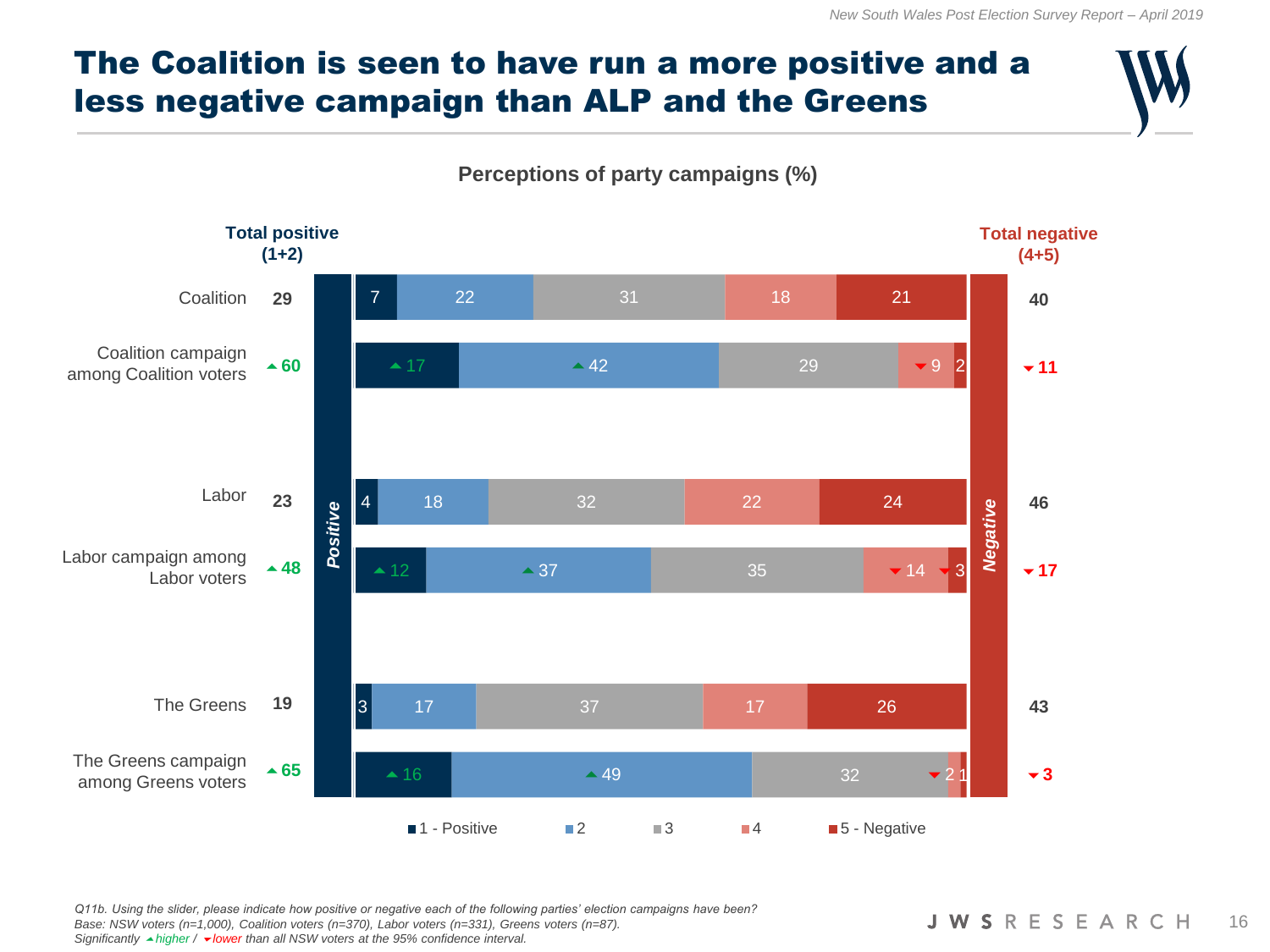# The Coalition is seen to have run a more positive and a less negative campaign than ALP and the Greens

**Perceptions of party campaigns (%)**



*Q11b. Using the slider, please indicate how positive or negative each of the following parties' election campaigns have been? Base: NSW voters (n=1,000), Coalition voters (n=370), Labor voters (n=331), Greens voters (n=87). Significantly higher / lower than all NSW voters at the 95% confidence interval.*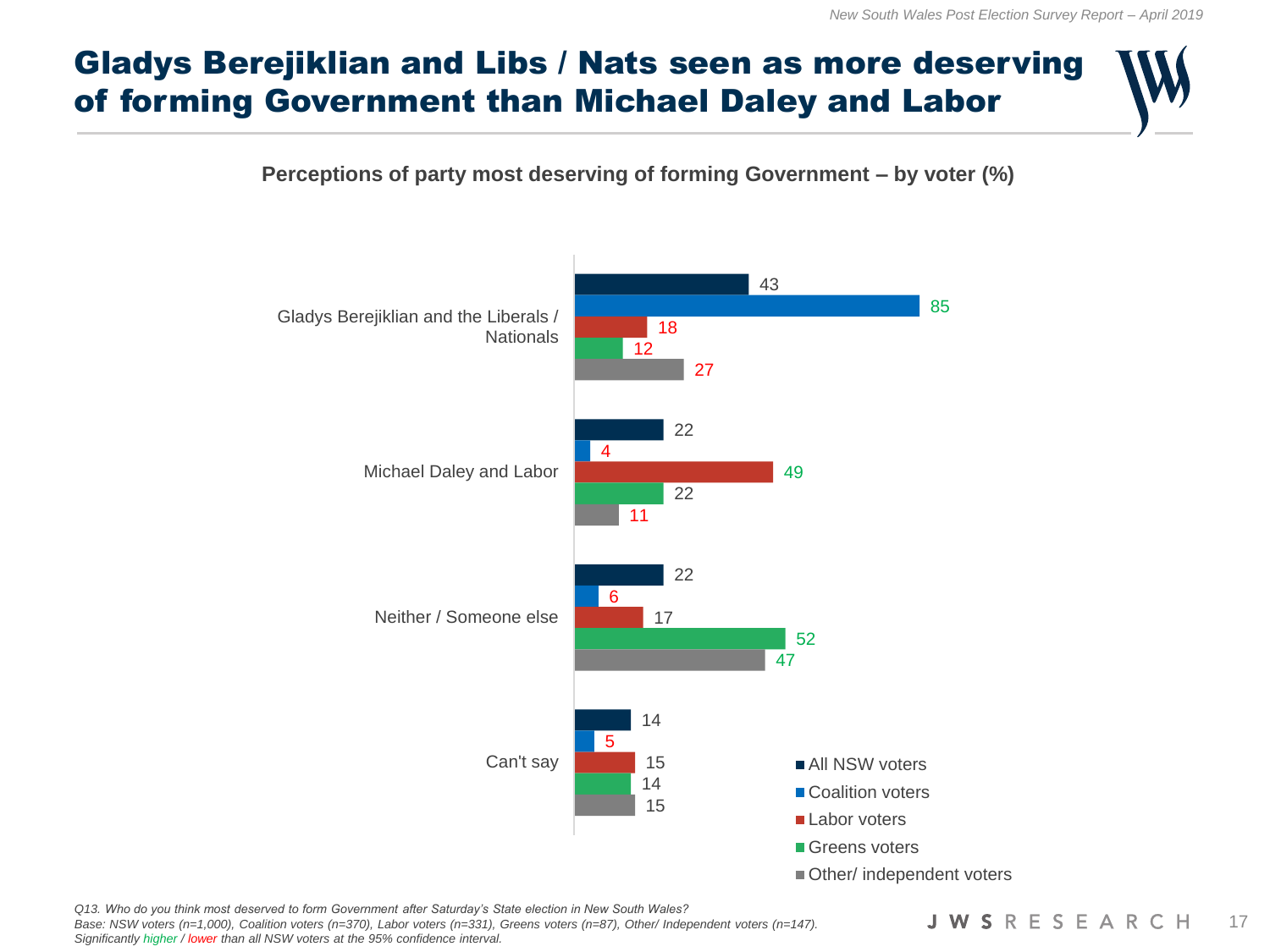# Gladys Berejiklian and Libs / Nats seen as more deserving of forming Government than Michael Daley and Labor

#### **Perceptions of party most deserving of forming Government – by voter (%)**



*Q13. Who do you think most deserved to form Government after Saturday's State election in New South Wales? Base: NSW voters (n=1,000), Coalition voters (n=370), Labor voters (n=331), Greens voters (n=87), Other/ Independent voters (n=147). Significantly higher / lower than all NSW voters at the 95% confidence interval.*

**JWSRESEARCH** 17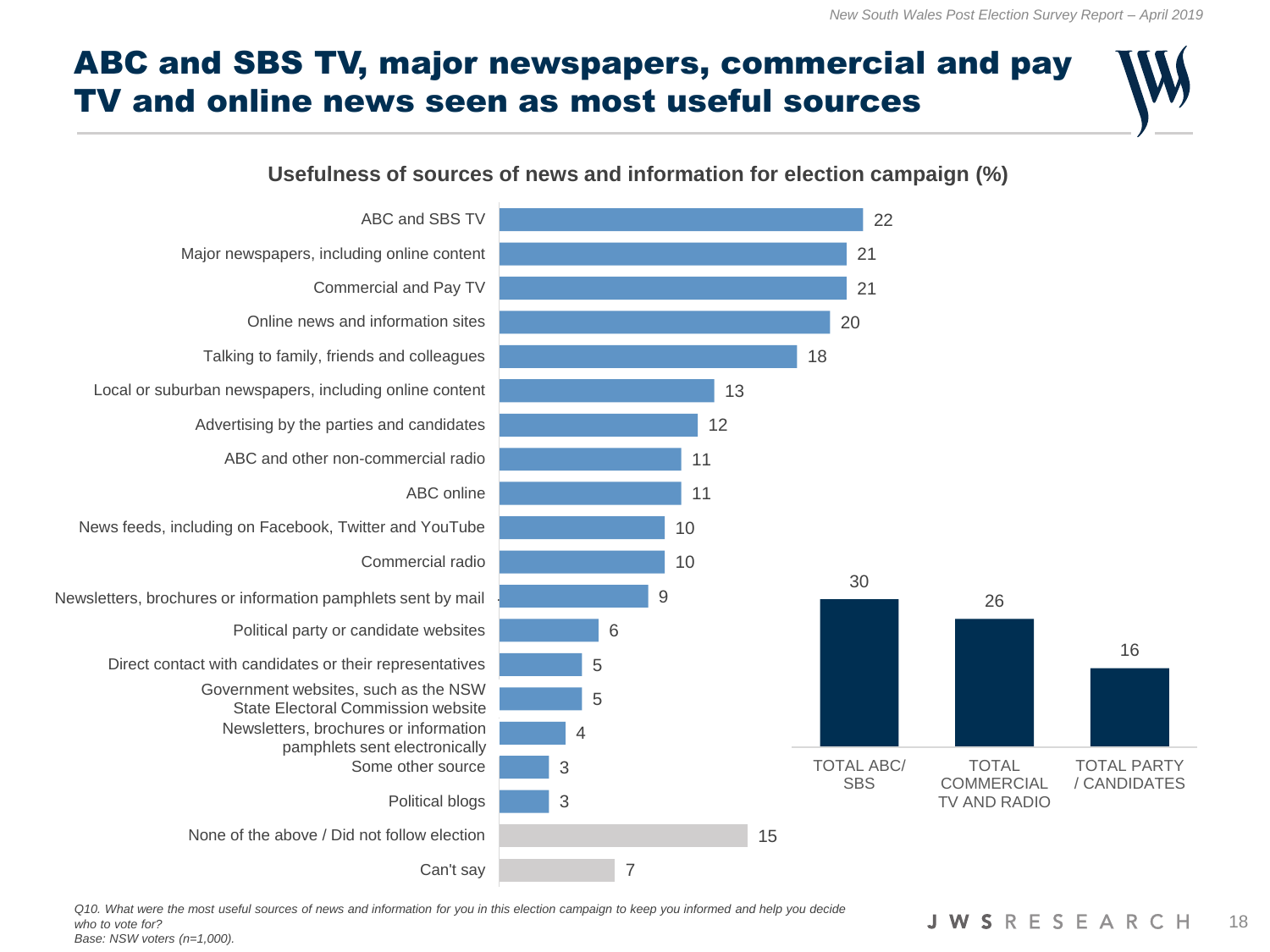# ABC and SBS TV, major newspapers, commercial and pay TV and online news seen as most useful sources

#### **Usefulness of sources of news and information for election campaign (%)**



*Q10. What were the most useful sources of news and information for you in this election campaign to keep you informed and help you decide who to vote for? Base: NSW voters (n=1,000).*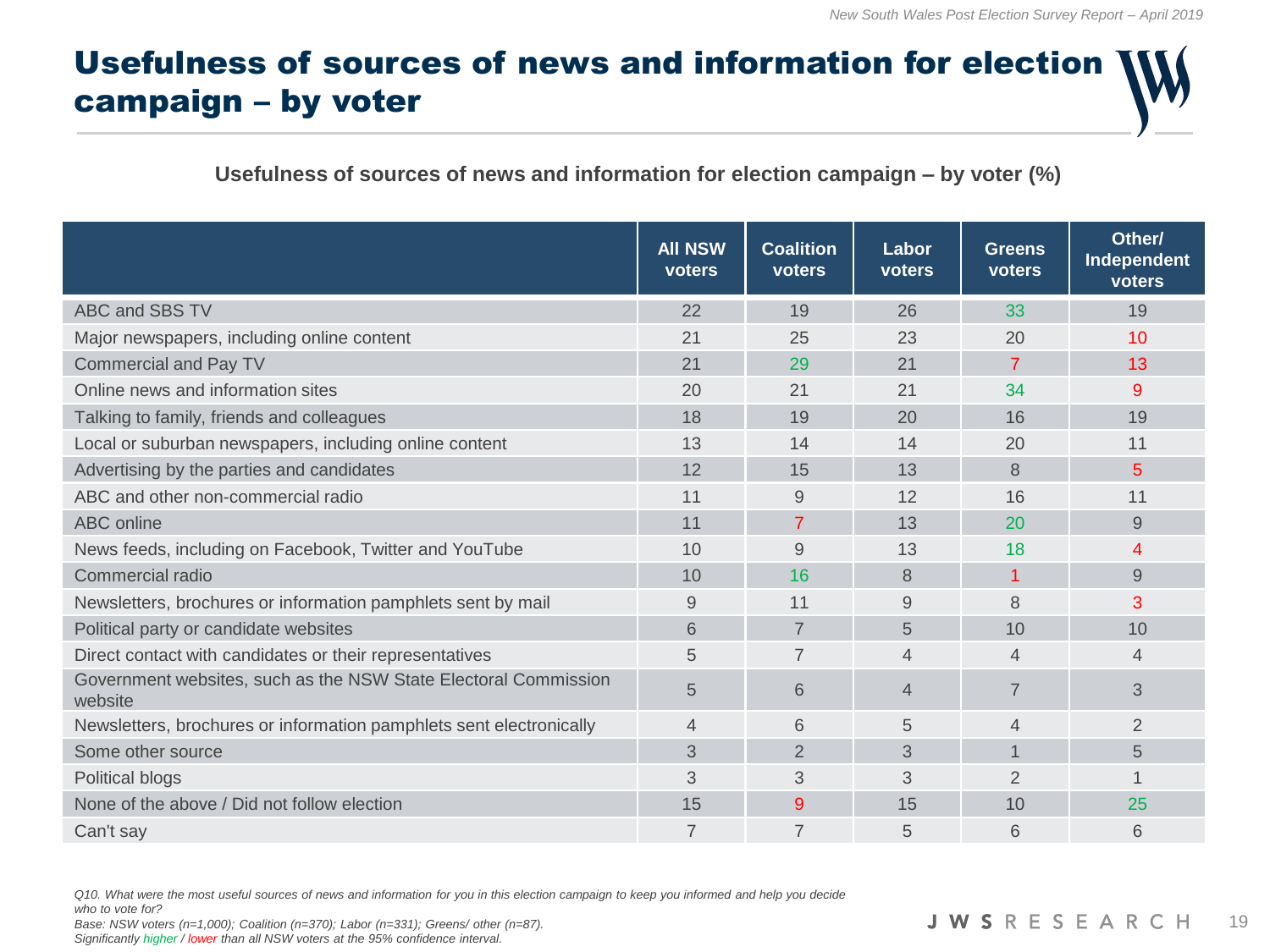# Usefulness of sources of news and information for election campaign – by voter

#### **Usefulness of sources of news and information for election campaign – by voter (%)**

|                                                                            | <b>All NSW</b><br>voters | <b>Coalition</b><br>voters | Labor<br>voters | <b>Greens</b><br>voters | Other/<br>Independent<br>voters |
|----------------------------------------------------------------------------|--------------------------|----------------------------|-----------------|-------------------------|---------------------------------|
| ABC and SBS TV                                                             | 22                       | 19                         | 26              | 33                      | 19                              |
| Major newspapers, including online content                                 | 21                       | 25                         | 23              | 20                      | 10                              |
| Commercial and Pay TV                                                      | 21                       | 29                         | 21              | 7                       | 13                              |
| Online news and information sites                                          | 20                       | 21                         | 21              | 34                      | 9                               |
| Talking to family, friends and colleagues                                  | 18                       | 19                         | 20              | 16                      | 19                              |
| Local or suburban newspapers, including online content                     | 13                       | 14                         | 14              | 20                      | 11                              |
| Advertising by the parties and candidates                                  | 12                       | 15                         | 13              | 8                       | 5                               |
| ABC and other non-commercial radio                                         | 11                       | 9                          | 12              | 16                      | 11                              |
| ABC online                                                                 | 11                       | $\overline{7}$             | 13              | 20                      | 9                               |
| News feeds, including on Facebook, Twitter and YouTube                     | 10                       | 9                          | 13              | 18                      | 4                               |
| Commercial radio                                                           | 10                       | 16                         | 8               | 1                       | 9                               |
| Newsletters, brochures or information pamphlets sent by mail               | 9                        | 11                         | 9               | 8                       | 3                               |
| Political party or candidate websites                                      | 6                        | $\overline{7}$             | 5               | 10                      | 10                              |
| Direct contact with candidates or their representatives                    | 5                        | 7                          | 4               | $\overline{4}$          | $\overline{4}$                  |
| Government websites, such as the NSW State Electoral Commission<br>website | 5                        | 6                          | $\overline{4}$  | $\overline{7}$          | 3                               |
| Newsletters, brochures or information pamphlets sent electronically        | 4                        | 6                          | 5               | 4                       | 2                               |
| Some other source                                                          | 3                        | $\overline{2}$             | 3               | $\mathbf 1$             | 5                               |
| Political blogs                                                            | 3                        | 3                          | 3               | $\overline{2}$          | 1                               |
| None of the above / Did not follow election                                | 15                       | 9                          | 15              | 10                      | 25                              |
| Can't say                                                                  | 7                        | $\overline{7}$             | 5               | 6                       | 6                               |

*Q10. What were the most useful sources of news and information for you in this election campaign to keep you informed and help you decide* 

*who to vote for?*

*Base: NSW voters (n=1,000); Coalition (n=370); Labor (n=331); Greens/ other (n=87).*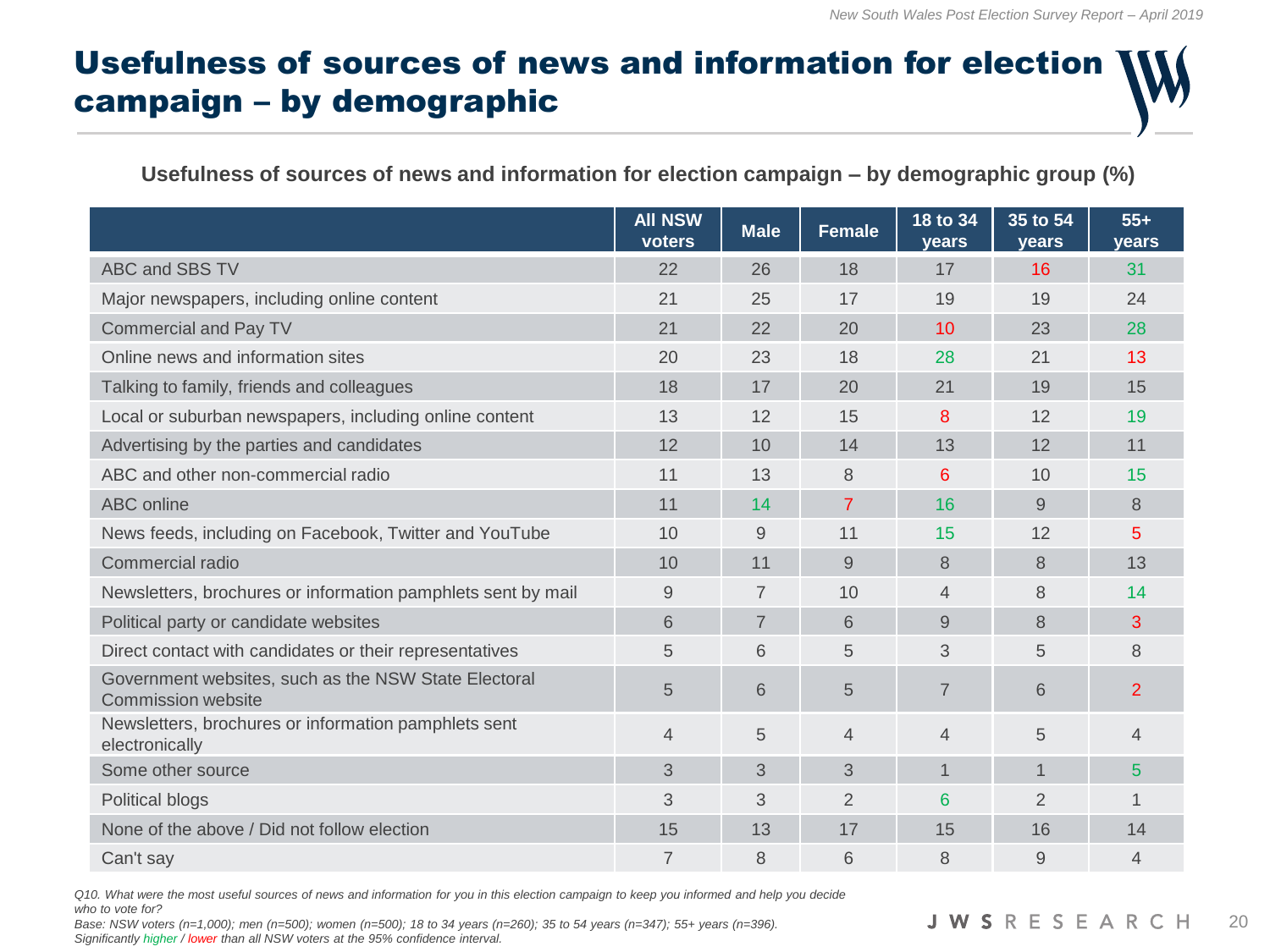# Usefulness of sources of news and information for election campaign – by demographic

#### **Usefulness of sources of news and information for election campaign – by demographic group (%)**

|                                                                            | <b>All NSW</b><br>voters | <b>Male</b>    | <b>Female</b>  | 18 to 34<br>years | 35 to 54<br>years | $55+$<br><b>vears</b> |
|----------------------------------------------------------------------------|--------------------------|----------------|----------------|-------------------|-------------------|-----------------------|
| ABC and SBS TV                                                             | 22                       | 26             | 18             | 17                | 16                | 31                    |
| Major newspapers, including online content                                 | 21                       | 25             | 17             | 19                | 19                | 24                    |
| <b>Commercial and Pay TV</b>                                               | 21                       | 22             | 20             | 10                | 23                | 28                    |
| Online news and information sites                                          | 20                       | 23             | 18             | 28                | 21                | 13                    |
| Talking to family, friends and colleagues                                  | 18                       | 17             | 20             | 21                | 19                | 15                    |
| Local or suburban newspapers, including online content                     | 13                       | 12             | 15             | 8                 | 12                | 19                    |
| Advertising by the parties and candidates                                  | 12                       | 10             | 14             | 13                | 12                | 11                    |
| ABC and other non-commercial radio                                         | 11                       | 13             | 8              | 6                 | 10                | 15                    |
| ABC online                                                                 | 11                       | 14             | $\overline{7}$ | 16                | 9                 | 8                     |
| News feeds, including on Facebook, Twitter and YouTube                     | 10                       | 9              | 11             | 15                | 12                | 5                     |
| Commercial radio                                                           | 10                       | 11             | 9              | 8                 | 8                 | 13                    |
| Newsletters, brochures or information pamphlets sent by mail               | 9                        | $\overline{7}$ | 10             | $\overline{4}$    | 8                 | 14                    |
| Political party or candidate websites                                      | 6                        | 7              | 6              | 9                 | 8                 | 3                     |
| Direct contact with candidates or their representatives                    | 5                        | 6              | 5              | 3                 | 5                 | 8                     |
| Government websites, such as the NSW State Electoral<br>Commission website | 5                        | 6              | 5              | $\overline{7}$    | 6                 | 2                     |
| Newsletters, brochures or information pamphlets sent<br>electronically     | $\overline{4}$           | 5              | 4              | $\overline{4}$    | 5                 | 4                     |
| Some other source                                                          | 3                        | 3              | 3              | $\mathbf 1$       |                   | 5                     |
| Political blogs                                                            | 3                        | 3              | 2              | 6                 | $\overline{2}$    |                       |
| None of the above / Did not follow election                                | 15                       | 13             | 17             | 15                | 16                | 14                    |
| Can't say                                                                  | 7                        | 8              | 6              | 8                 | 9                 | 4                     |

*Q10. What were the most useful sources of news and information for you in this election campaign to keep you informed and help you decide who to vote for?*

*Base: NSW voters (n=1,000); men (n=500); women (n=500); 18 to 34 years (n=260); 35 to 54 years (n=347); 55+ years (n=396). Significantly higher / lower than all NSW voters at the 95% confidence interval.*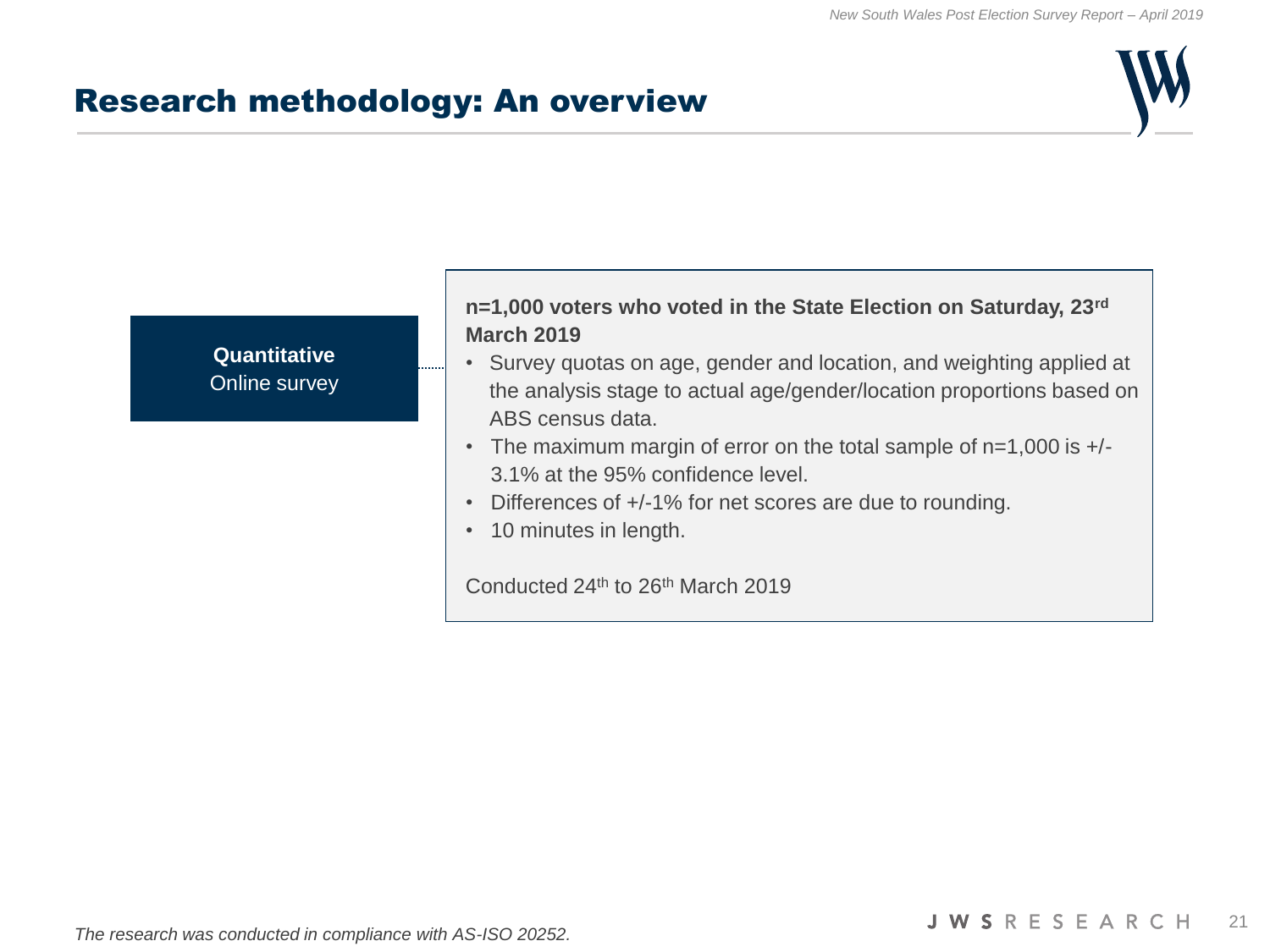#### Research methodology: An overview